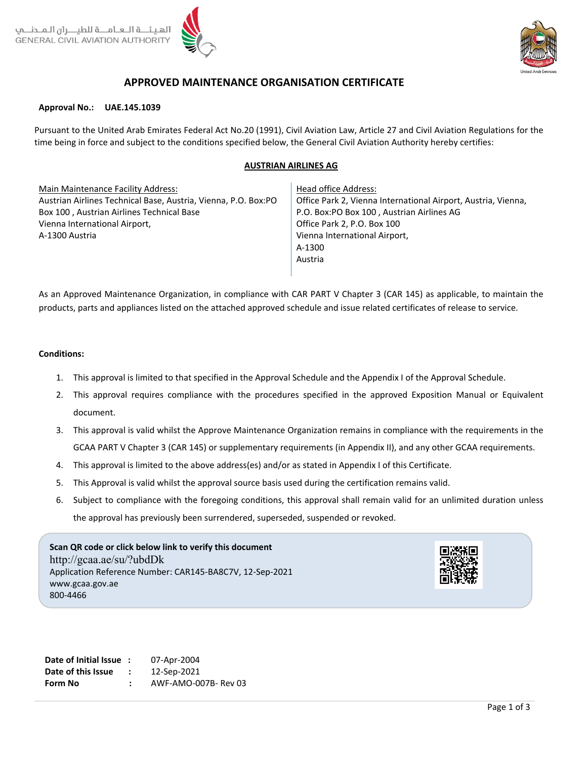

# **APPROVED MAINTENANCE ORGANISATION CERTIFICATE**

#### **Approval No.: UAE.145.1039**

Pursuant to the United Arab Emirates Federal Act No.20 (1991), Civil Aviation Law, Article 27 and Civil Aviation Regulations for the time being in force and subject to the conditions specified below, the General Civil Aviation Authority hereby certifies:

#### **AUSTRIAN AIRLINES AG**

Main Maintenance Facility Address: Austrian Airlines Technical Base, Austria, Vienna, P.O. Box:PO Box 100 , Austrian Airlines Technical Base Vienna International Airport, A-1300 Austria

Head office Address: Office Park 2, Vienna International Airport, Austria, Vienna, P.O. Box:PO Box 100 , Austrian Airlines AG Office Park 2, P.O. Box 100 Vienna International Airport, A-1300 Austria

As an Approved Maintenance Organization, in compliance with CAR PART V Chapter 3 (CAR 145) as applicable, to maintain the products, parts and appliances listed on the attached approved schedule and issue related certificates of release to service.

#### **Conditions:**

- 1. This approval is limited to that specified in the Approval Schedule and the Appendix I of the Approval Schedule.
- 2. This approval requires compliance with the procedures specified in the approved Exposition Manual or Equivalent document.
- 3. This approval is valid whilst the Approve Maintenance Organization remains in compliance with the requirements in the GCAA PART V Chapter 3 (CAR 145) or supplementary requirements (in Appendix II), and any other GCAA requirements.
- 4. This approval is limited to the above address(es) and/or as stated in Appendix I of this Certificate.
- 5. This Approval is valid whilst the approval source basis used during the certification remains valid.
- 6. Subject to compliance with the foregoing conditions, this approval shall remain valid for an unlimited duration unless the approval has previously been surrendered, superseded, suspended or revoked.

**Scan QR code or click below link to verify this document** http://gcaa.ae/su/?ubdDk Application Reference Number: CAR145-BA8C7V, 12-Sep-2021 www.gcaa.gov.ae 800-4466



**Date of Initial Issue :** 07-Apr-2004 **Date of this Issue :** 12-Sep-2021 **Form No :** AWF-AMO-007B- Rev 03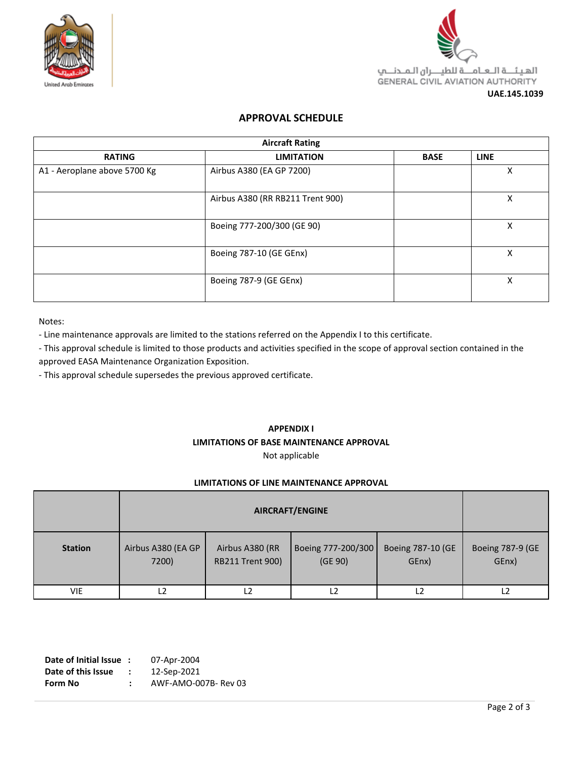



الهيئـــة الــعــامــــة للطيــــران الـمــدنــــمي GENERAL CIVIL AVIATION AUTHORITY

**UAE.145.1039**

# **APPROVAL SCHEDULE**

| <b>Aircraft Rating</b>       |                                  |             |             |  |  |
|------------------------------|----------------------------------|-------------|-------------|--|--|
| <b>RATING</b>                | <b>LIMITATION</b>                | <b>BASE</b> | <b>LINE</b> |  |  |
| A1 - Aeroplane above 5700 Kg | Airbus A380 (EA GP 7200)         |             | x           |  |  |
|                              | Airbus A380 (RR RB211 Trent 900) |             | Χ           |  |  |
|                              | Boeing 777-200/300 (GE 90)       |             | Χ           |  |  |
|                              | Boeing 787-10 (GE GEnx)          |             | Χ           |  |  |
|                              | Boeing 787-9 (GE GEnx)           |             | Χ           |  |  |

Notes:

- Line maintenance approvals are limited to the stations referred on the Appendix I to this certificate.

- This approval schedule is limited to those products and activities specified in the scope of approval section contained in the approved EASA Maintenance Organization Exposition.

- This approval schedule supersedes the previous approved certificate.

# **APPENDIX I LIMITATIONS OF BASE MAINTENANCE APPROVAL** Not applicable

# **LIMITATIONS OF LINE MAINTENANCE APPROVAL**

| <b>Station</b> | Airbus A380 (EA GP<br>7200) | Airbus A380 (RR<br><b>RB211 Trent 900)</b> | Boeing 777-200/300<br>(GE 90) | Boeing 787-10 (GE<br>GEnx) | Boeing 787-9 (GE<br>GEnx) |
|----------------|-----------------------------|--------------------------------------------|-------------------------------|----------------------------|---------------------------|
| <b>VIE</b>     | L2                          | ∟2                                         | L2                            | L2                         |                           |

| Date of Initial Issue: |              | 07-Apr-2004          |
|------------------------|--------------|----------------------|
| Date of this Issue     | $\mathbf{L}$ | 12-Sep-2021          |
| <b>Form No</b>         |              | AWF-AMO-007B- Rev 03 |